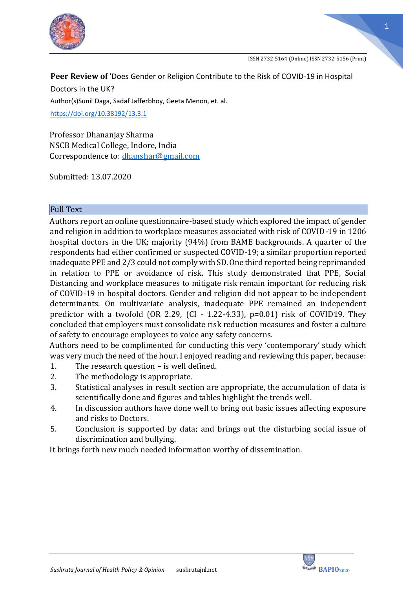

## **Peer Review of** 'Does Gender or Religion Contribute to the Risk of COVID-19 in Hospital

Doctors in the UK? Author(s)Sunil Daga, Sadaf Jafferbhoy, Geeta Menon, et. al. <https://doi.org/10.38192/13.3.1>

Professor Dhananjay Sharma NSCB Medical College, Indore, India Correspondence to: dhanshar@gmail.com

Submitted: 13.07.2020

## Full Text

Authors report an online questionnaire-based study which explored the impact of gender and religion in addition to workplace measures associated with risk of COVID-19 in 1206 hospital doctors in the UK; majority (94%) from BAME backgrounds. A quarter of the respondents had either confirmed or suspected COVID-19; a similar proportion reported inadequate PPE and 2/3 could not comply with SD. One third reported being reprimanded in relation to PPE or avoidance of risk. This study demonstrated that PPE, Social Distancing and workplace measures to mitigate risk remain important for reducing risk of COVID-19 in hospital doctors. Gender and religion did not appear to be independent determinants. On multivariate analysis, inadequate PPE remained an independent predictor with a twofold (OR 2.29, (CI - 1.22-4.33), p=0.01) risk of COVID19. They concluded that employers must consolidate risk reduction measures and foster a culture of safety to encourage employees to voice any safety concerns.

Authors need to be complimented for conducting this very 'contemporary' study which was very much the need of the hour. I enjoyed reading and reviewing this paper, because:

- 1. The research question is well defined.
- 2. The methodology is appropriate.
- 3. Statistical analyses in result section are appropriate, the accumulation of data is scientifically done and figures and tables highlight the trends well.
- 4. In discussion authors have done well to bring out basic issues affecting exposure and risks to Doctors.
- 5. Conclusion is supported by data; and brings out the disturbing social issue of discrimination and bullying.

It brings forth new much needed information worthy of dissemination.